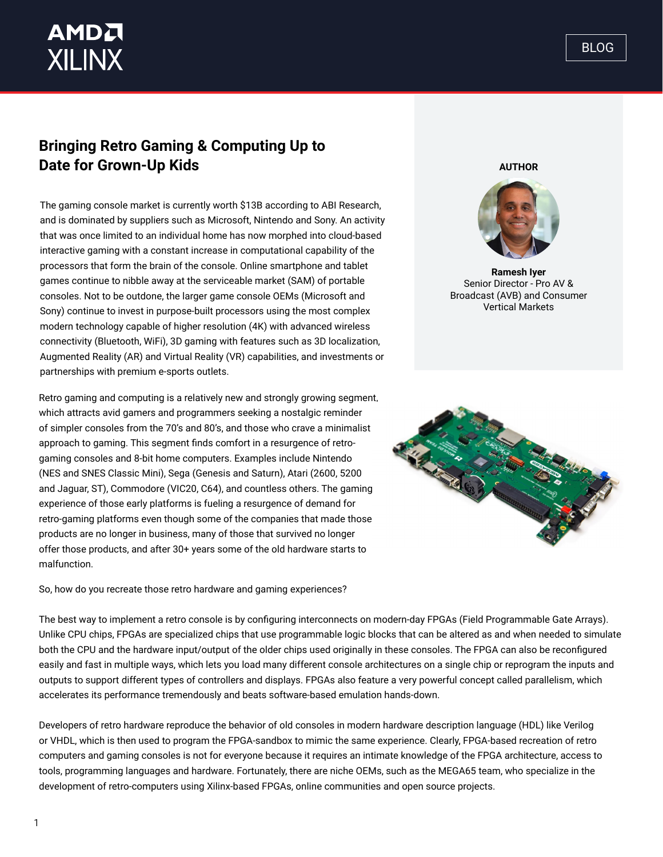## AMDA **XILINX**

## **Bringing Retro Gaming & Computing Up to Date for Grown-Up Kids**

The gaming console market is currently worth \$13B according to ABI Research, and is dominated by suppliers such as Microsoft, Nintendo and Sony. An activity that was once limited to an individual home has now morphed into cloud-based interactive gaming with a constant increase in computational capability of the processors that form the brain of the console. Online smartphone and tablet games continue to nibble away at the serviceable market (SAM) of portable consoles. Not to be outdone, the larger game console OEMs (Microsoft and Sony) continue to invest in purpose-built processors using the most complex modern technology capable of higher resolution (4K) with advanced wireless connectivity (Bluetooth, WiFi), 3D gaming with features such as 3D localization, Augmented Reality (AR) and Virtual Reality (VR) capabilities, and investments or partnerships with premium e-sports outlets.

Retro gaming and computing is a relatively new and strongly growing segment, which attracts avid gamers and programmers seeking a nostalgic reminder of simpler consoles from the 70's and 80's, and those who crave a minimalist approach to gaming. This segment finds comfort in a resurgence of retrogaming consoles and 8-bit home computers. Examples include Nintendo (NES and SNES Classic Mini), Sega (Genesis and Saturn), Atari (2600, 5200 and Jaguar, ST), Commodore (VIC20, C64), and countless others. The gaming experience of those early platforms is fueling a resurgence of demand for retro-gaming platforms even though some of the companies that made those products are no longer in business, many of those that survived no longer offer those products, and after 30+ years some of the old hardware starts to malfunction.

So, how do you recreate those retro hardware and gaming experiences?

The best way to implement a retro console is by configuring interconnects on modern-day FPGAs (Field Programmable Gate Arrays). Unlike CPU chips, FPGAs are specialized chips that use programmable logic blocks that can be altered as and when needed to simulate both the CPU and the hardware input/output of the older chips used originally in these consoles. The FPGA can also be reconfigured easily and fast in multiple ways, which lets you load many different console architectures on a single chip or reprogram the inputs and outputs to support different types of controllers and displays. FPGAs also feature a very powerful concept called parallelism, which accelerates its performance tremendously and beats software-based emulation hands-down.

Developers of retro hardware reproduce the behavior of old consoles in modern hardware description language (HDL) like Verilog or VHDL, which is then used to program the FPGA-sandbox to mimic the same experience. Clearly, FPGA-based recreation of retro computers and gaming consoles is not for everyone because it requires an intimate knowledge of the FPGA architecture, access to tools, programming languages and hardware. Fortunately, there are niche OEMs, such as the MEGA65 team, who specialize in the development of retro-computers using Xilinx-based FPGAs, online communities and open source projects.





**Ramesh Iyer** Senior Director - Pro AV & Broadcast (AVB) and Consumer Vertical Markets